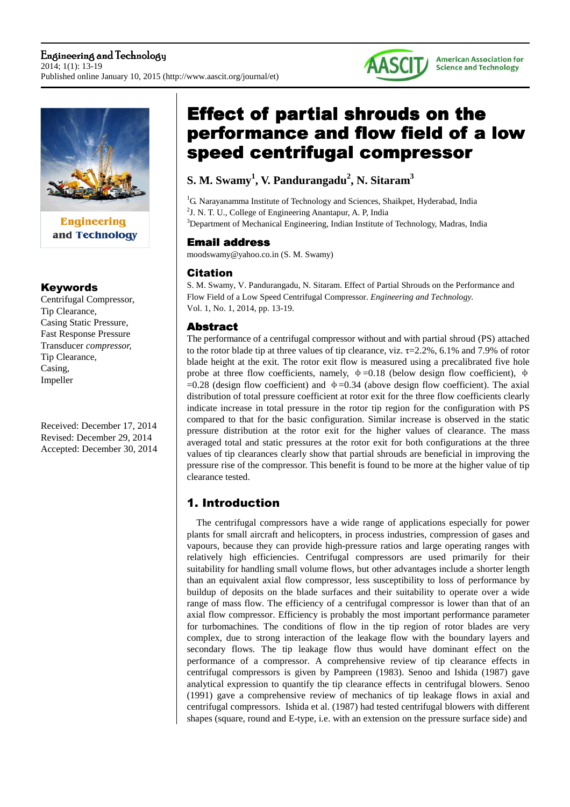

and Technology

### Keywords

Centrifugal Compressor, Tip Clearance, Casing Static Pressure, Fast Response Pressure Transducer *compressor,*  Tip Clearance, Casing, Impeller

Received: December 17, 2014 Revised: December 29, 2014 Accepted: December 30, 2014

# **Effect of partial shrouds on the** performance and flow field of a low speed centrifugal compressor

**AASCIT** 

**American Association for Science and Technology** 

## **S. M. Swamy<sup>1</sup> , V. Pandurangadu<sup>2</sup> , N. Sitaram<sup>3</sup>**

<sup>1</sup>G. Narayanamma Institute of Technology and Sciences, Shaikpet, Hyderabad, India <sup>2</sup>J. N. T. U., College of Engineering Anantapur, A. P, India <sup>3</sup>Department of Mechanical Engineering, Indian Institute of Technology, Madras, India

## **Email address**

moodswamy@yahoo.co.in (S. M. Swamy)

## Citation

S. M. Swamy, V. Pandurangadu, N. Sitaram. Effect of Partial Shrouds on the Performance and Flow Field of a Low Speed Centrifugal Compressor. *Engineering and Technology.* Vol. 1, No. 1, 2014, pp. 13-19.

## **Abstract**

The performance of a centrifugal compressor without and with partial shroud (PS) attached to the rotor blade tip at three values of tip clearance, viz. τ=2.2%, 6.1% and 7.9% of rotor blade height at the exit. The rotor exit flow is measured using a precalibrated five hole probe at three flow coefficients, namely,  $\phi = 0.18$  (below design flow coefficient),  $\phi$  $=0.28$  (design flow coefficient) and  $\phi = 0.34$  (above design flow coefficient). The axial distribution of total pressure coefficient at rotor exit for the three flow coefficients clearly indicate increase in total pressure in the rotor tip region for the configuration with PS compared to that for the basic configuration. Similar increase is observed in the static pressure distribution at the rotor exit for the higher values of clearance. The mass averaged total and static pressures at the rotor exit for both configurations at the three values of tip clearances clearly show that partial shrouds are beneficial in improving the pressure rise of the compressor. This benefit is found to be more at the higher value of tip clearance tested.

## 1. Introduction

The centrifugal compressors have a wide range of applications especially for power plants for small aircraft and helicopters, in process industries, compression of gases and vapours, because they can provide high-pressure ratios and large operating ranges with relatively high efficiencies. Centrifugal compressors are used primarily for their suitability for handling small volume flows, but other advantages include a shorter length than an equivalent axial flow compressor, less susceptibility to loss of performance by buildup of deposits on the blade surfaces and their suitability to operate over a wide range of mass flow. The efficiency of a centrifugal compressor is lower than that of an axial flow compressor. Efficiency is probably the most important performance parameter for turbomachines. The conditions of flow in the tip region of rotor blades are very complex, due to strong interaction of the leakage flow with the boundary layers and secondary flows. The tip leakage flow thus would have dominant effect on the performance of a compressor. A comprehensive review of tip clearance effects in centrifugal compressors is given by Pampreen (1983). Senoo and Ishida (1987) gave analytical expression to quantify the tip clearance effects in centrifugal blowers. Senoo (1991) gave a comprehensive review of mechanics of tip leakage flows in axial and centrifugal compressors. Ishida et al. (1987) had tested centrifugal blowers with different shapes (square, round and E-type, i.e. with an extension on the pressure surface side) and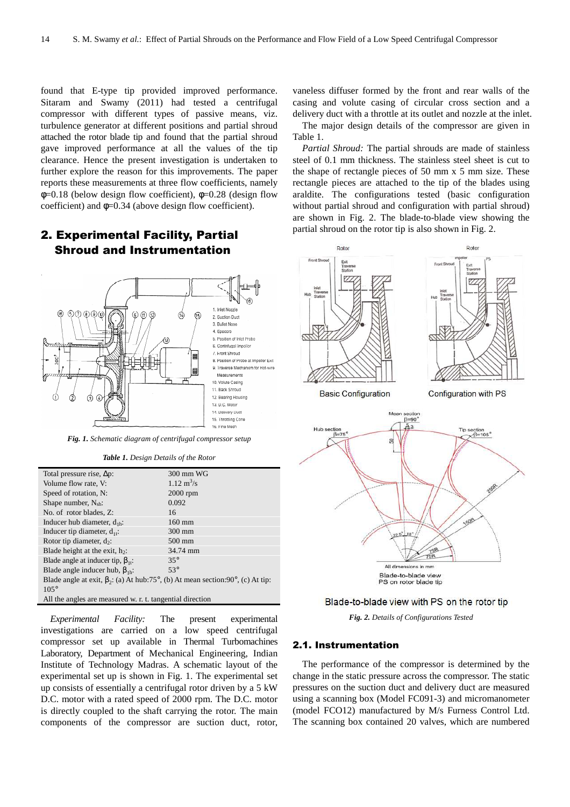found that E-type tip provided improved performance. Sitaram and Swamy (2011) had tested a centrifugal compressor with different types of passive means, viz. turbulence generator at different positions and partial shroud attached the rotor blade tip and found that the partial shroud gave improved performance at all the values of the tip clearance. Hence the present investigation is undertaken to further explore the reason for this improvements. The paper reports these measurements at three flow coefficients, namely  $\phi$ =0.18 (below design flow coefficient),  $\phi$ =0.28 (design flow coefficient) and  $\phi$ =0.34 (above design flow coefficient).

## 2. Experimental Facility, Partial Shroud and Instrumentation



*Fig. 1. Schematic diagram of centrifugal compressor setup* 

*Table 1. Design Details of the Rotor* 

| Total pressure rise, $\Delta p$ :                                                     | 300 mm WG                   |  |  |  |  |
|---------------------------------------------------------------------------------------|-----------------------------|--|--|--|--|
| Volume flow rate, V:                                                                  | $1.12 \text{ m}^3/\text{s}$ |  |  |  |  |
| Speed of rotation, N:                                                                 | $2000$ rpm                  |  |  |  |  |
| Shape number, $N_{sh}$ :                                                              | 0.092                       |  |  |  |  |
| No. of rotor blades, Z:                                                               | 16                          |  |  |  |  |
| Inducer hub diameter, $d_{1h}$ :                                                      | $160$ mm                    |  |  |  |  |
| Inducer tip diameter, $d_{1t}$ :                                                      | $300 \text{ mm}$            |  |  |  |  |
| Rotor tip diameter, $d_2$ :                                                           | $500$ mm                    |  |  |  |  |
| Blade height at the exit, $h_2$ :                                                     | 34.74 mm                    |  |  |  |  |
| Blade angle at inducer tip, $\beta_{11}$ :                                            | $35^\circ$                  |  |  |  |  |
| Blade angle inducer hub, $\beta_{1b}$ :                                               | $53^\circ$                  |  |  |  |  |
| Blade angle at exit, $\beta_2$ : (a) At hub:75°, (b) At mean section:90°, (c) At tip: |                             |  |  |  |  |
| $105^\circ$                                                                           |                             |  |  |  |  |
| All the angles are measured w. r. t. tangential direction                             |                             |  |  |  |  |

*Experimental Facility:* The present experimental investigations are carried on a low speed centrifugal compressor set up available in Thermal Turbomachines Laboratory, Department of Mechanical Engineering, Indian Institute of Technology Madras. A schematic layout of the experimental set up is shown in Fig. 1. The experimental set up consists of essentially a centrifugal rotor driven by a 5 kW D.C. motor with a rated speed of 2000 rpm. The D.C. motor is directly coupled to the shaft carrying the rotor. The main components of the compressor are suction duct, rotor,

vaneless diffuser formed by the front and rear walls of the casing and volute casing of circular cross section and a delivery duct with a throttle at its outlet and nozzle at the inlet.

The major design details of the compressor are given in Table 1.

*Partial Shroud:* The partial shrouds are made of stainless steel of 0.1 mm thickness. The stainless steel sheet is cut to the shape of rectangle pieces of 50 mm x 5 mm size. These rectangle pieces are attached to the tip of the blades using araldite. The configurations tested (basic configuration without partial shroud and configuration with partial shroud) are shown in Fig. 2. The blade-to-blade view showing the partial shroud on the rotor tip is also shown in Fig. 2.



*Fig. 2. Details of Configurations Tested* 

#### 2.1. Instrumentation

The performance of the compressor is determined by the change in the static pressure across the compressor. The static pressures on the suction duct and delivery duct are measured using a scanning box (Model FC091-3) and micromanometer (model FCO12) manufactured by M/s Furness Control Ltd. The scanning box contained 20 valves, which are numbered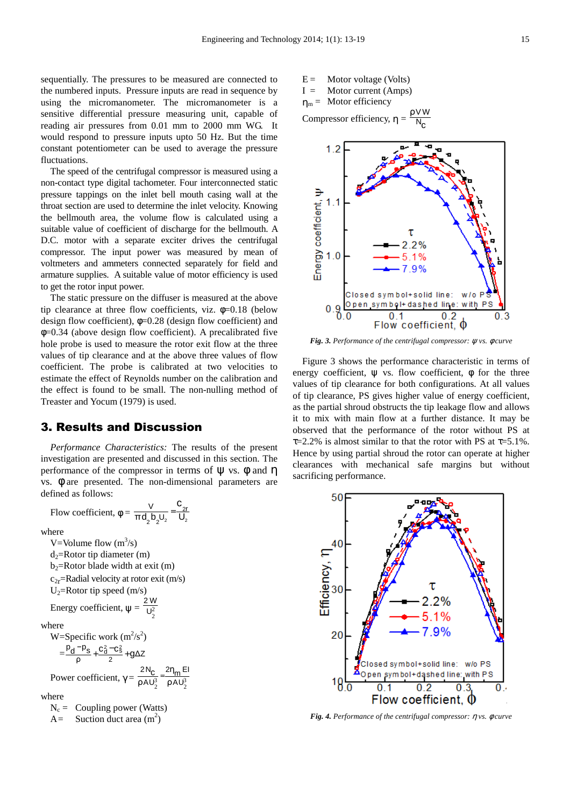sequentially. The pressures to be measured are connected to the numbered inputs. Pressure inputs are read in sequence by using the micromanometer. The micromanometer is a sensitive differential pressure measuring unit, capable of reading air pressures from 0.01 mm to 2000 mm WG. It would respond to pressure inputs upto 50 Hz. But the time constant potentiometer can be used to average the pressure fluctuations.

The speed of the centrifugal compressor is measured using a non-contact type digital tachometer. Four interconnected static pressure tappings on the inlet bell mouth casing wall at the throat section are used to determine the inlet velocity. Knowing the bellmouth area, the volume flow is calculated using a suitable value of coefficient of discharge for the bellmouth. A D.C. motor with a separate exciter drives the centrifugal compressor. The input power was measured by mean of voltmeters and ammeters connected separately for field and armature supplies. A suitable value of motor efficiency is used to get the rotor input power.

The static pressure on the diffuser is measured at the above tip clearance at three flow coefficients, viz.  $\phi$ =0.18 (below design flow coefficient),  $\phi = 0.28$  (design flow coefficient) and φ=0.34 (above design flow coefficient). A precalibrated five hole probe is used to measure the rotor exit flow at the three values of tip clearance and at the above three values of flow coefficient. The probe is calibrated at two velocities to estimate the effect of Reynolds number on the calibration and the effect is found to be small. The non-nulling method of Treaster and Yocum (1979) is used.

#### 3. Results and Discussion

Flow coefficient,  $\phi = \frac{V}{\pi d_2 b_2 U_2} = \frac{V_{2r}}{U_2}$ 

*Performance Characteristics:* The results of the present investigation are presented and discussed in this section. The performance of the compressor in terms of  $\Psi$  vs.  $\phi$  and  $\eta$ vs. φ are presented. The non-dimensional parameters are defined as follows:

c

 $2^{\sim}$  2

U  $\frac{V}{V}$  =

where

V=Volume flow  $(m^3/s)$  $d_2$ =Rotor tip diameter (m)  $b_2$ =Rotor blade width at exit (m)  $c_{2r}$ =Radial velocity at rotor exit (m/s) U2=Rotor tip speed (m/s) Energy coefficient,  $\psi = \sqrt{\frac{v^2}{c^2}}$ 2 W where W=Specific work  $(m^2/s^2)$  $=\frac{r d \cdot rs}{\rho}+\frac{G d \cdot Cs}{2}+g\Delta Z$  $\frac{p_d - p_s}{r} + \frac{c_d^2 - c_s^2}{r} + g$ 2  $-\frac{p_s}{s} + \frac{c_d^2 - c_s^2}{s} +$ Power coefficient,  $\gamma = \frac{C}{\rho A U_2^3} = \frac{V H}{\rho A U_2^3}$ 2η<sub>m</sub> El AU N 2 ρ η  $rac{2N_C}{\rho A U_2^3} =$ where  $N_c =$ Coupling power (Watts)  $A =$  Suction duct area  $(m^2)$ 

 $E =$  Motor voltage (Volts)  $I =$  Motor current (Amps)  $\eta_m =$  Motor efficiency

Compressor efficiency,  $\eta$  = c ρ N VW



*Fig. 3. Performance of the centrifugal compressor:* ψ *vs.* φ *curve* 

Figure 3 shows the performance characteristic in terms of energy coefficient,  $\psi$  vs. flow coefficient,  $\phi$  for the three values of tip clearance for both configurations. At all values of tip clearance, PS gives higher value of energy coefficient, as the partial shroud obstructs the tip leakage flow and allows it to mix with main flow at a further distance. It may be observed that the performance of the rotor without PS at  $\tau$ =2.2% is almost similar to that the rotor with PS at  $\tau$ =5.1%. Hence by using partial shroud the rotor can operate at higher clearances with mechanical safe margins but without sacrificing performance.



*Fig. 4. Performance of the centrifugal compressor:* η *vs.* φ *curve*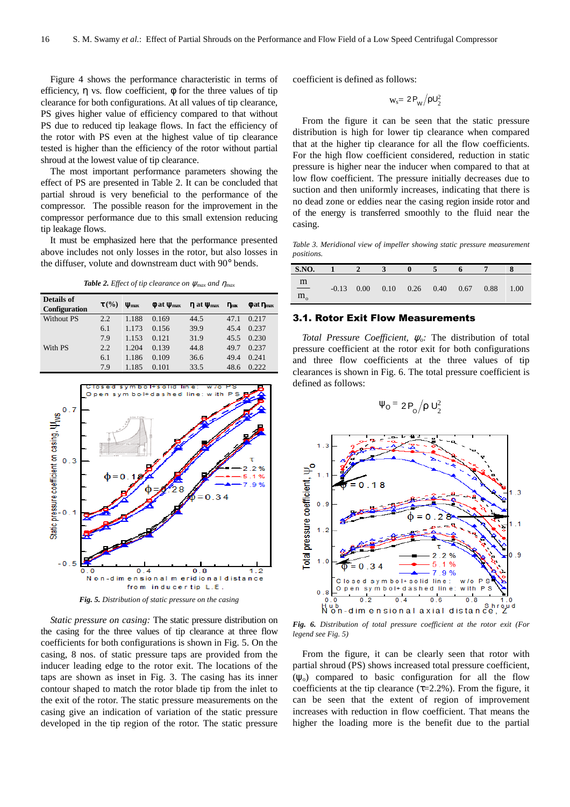Figure 4 shows the performance characteristic in terms of efficiency,  $\eta$  vs. flow coefficient,  $\phi$  for the three values of tip clearance for both configurations. At all values of tip clearance, PS gives higher value of efficiency compared to that without PS due to reduced tip leakage flows. In fact the efficiency of the rotor with PS even at the highest value of tip clearance tested is higher than the efficiency of the rotor without partial shroud at the lowest value of tip clearance.

The most important performance parameters showing the effect of PS are presented in Table 2. It can be concluded that partial shroud is very beneficial to the performance of the compressor. The possible reason for the improvement in the compressor performance due to this small extension reducing tip leakage flows.

It must be emphasized here that the performance presented above includes not only losses in the rotor, but also losses in the diffuser, volute and downstream duct with 90° bends.

*Table 2. Effect of tip clearance on*  $\psi_{max}$  *and*  $\eta_{max}$ 

| Details of<br>Configuration | $\tau$ (%) | $V_{\text{max}}$ | $\phi$ at $\psi_{\text{max}}$ | $\eta$ at $\psi_{\text{max}}$ | $\eta_{\rm nuc}$ | $\phi$ at $\eta_{\text{max}}$ |
|-----------------------------|------------|------------------|-------------------------------|-------------------------------|------------------|-------------------------------|
| Without PS                  | 2.2        | 1.188            | 0.169                         | 44.5                          | 47.1             | 0.217                         |
|                             | 6.1        | 1.173            | 0.156                         | 39.9                          | 45.4             | 0.237                         |
|                             | 7.9        | 1.153            | 0.121                         | 31.9                          | 45.5             | 0.230                         |
| With PS                     | 2.2        | 1.204            | 0.139                         | 44.8                          | 49.7             | 0.237                         |
|                             | 6.1        | 1.186            | 0.109                         | 36.6                          | 49.4             | 0.241                         |
|                             | 7.9        | 1.185            | 0.101                         | 33.5                          | 48.6             | 0.222                         |



*Static pressure on casing:* The static pressure distribution on the casing for the three values of tip clearance at three flow coefficients for both configurations is shown in Fig. 5. On the casing, 8 nos. of static pressure taps are provided from the inducer leading edge to the rotor exit. The locations of the taps are shown as inset in Fig. 3. The casing has its inner contour shaped to match the rotor blade tip from the inlet to the exit of the rotor. The static pressure measurements on the casing give an indication of variation of the static pressure developed in the tip region of the rotor. The static pressure

coefficient is defined as follows:

$$
w_s = 2 P_W / \rho U_2^2
$$

From the figure it can be seen that the static pressure distribution is high for lower tip clearance when compared that at the higher tip clearance for all the flow coefficients. For the high flow coefficient considered, reduction in static pressure is higher near the inducer when compared to that at low flow coefficient. The pressure initially decreases due to suction and then uniformly increases, indicating that there is no dead zone or eddies near the casing region inside rotor and of the energy is transferred smoothly to the fluid near the casing.

*Table 3. Meridional view of impeller showing static pressure measurement positions.* 

| <b>S.NO.</b>            |  |                                  |  |      |      |
|-------------------------|--|----------------------------------|--|------|------|
| $\mathbf{m}$<br>$m_{o}$ |  | $-0.13$ 0.00 0.10 0.26 0.40 0.67 |  | 0.88 | 1.00 |

#### 3.1. Rotor Exit Flow Measurements

*Total Pressure Coefficient,* ψ*o:* The distribution of total pressure coefficient at the rotor exit for both configurations and three flow coefficients at the three values of tip clearances is shown in Fig. 6. The total pressure coefficient is defined as follows:

$$
\Psi_{\rm O} = 2 P_{\rm O} / \rho U_2^2
$$



*Fig. 6. Distribution of total pressure coefficient at the rotor exit (For legend see Fig. 5)* 

From the figure, it can be clearly seen that rotor with partial shroud (PS) shows increased total pressure coefficient,  $(\psi_0)$  compared to basic configuration for all the flow coefficients at the tip clearance ( $\tau$ =2.2%). From the figure, it can be seen that the extent of region of improvement increases with reduction in flow coefficient. That means the higher the loading more is the benefit due to the partial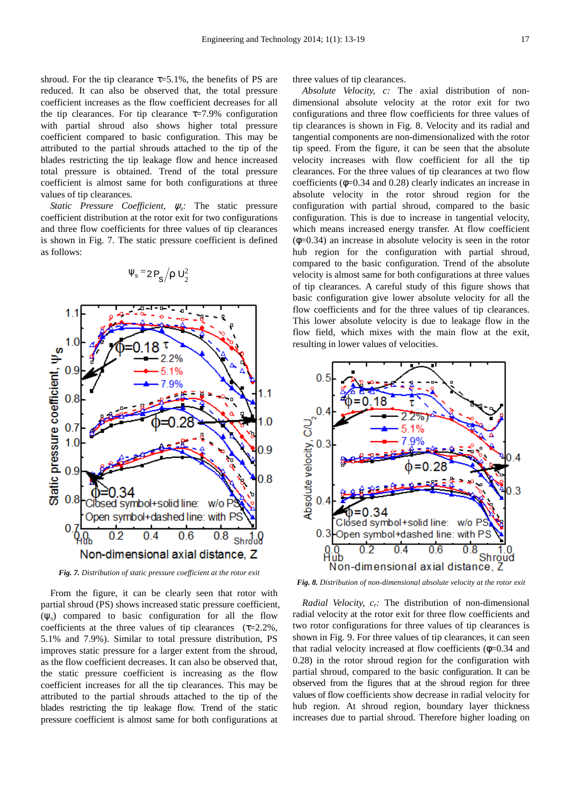shroud. For the tip clearance  $\tau = 5.1\%$ , the benefits of PS are reduced. It can also be observed that, the total pressure coefficient increases as the flow coefficient decreases for all the tip clearances. For tip clearance  $\tau$ =7.9% configuration with partial shroud also shows higher total pressure coefficient compared to basic configuration. This may be attributed to the partial shrouds attached to the tip of the blades restricting the tip leakage flow and hence increased total pressure is obtained. Trend of the total pressure coefficient is almost same for both configurations at three values of tip clearances.

*Static Pressure Coefficient,* ψ*s:* The static pressure coefficient distribution at the rotor exit for two configurations and three flow coefficients for three values of tip clearances is shown in Fig. 7. The static pressure coefficient is defined as follows:



 $\Psi_{\rm s}$  = 2  $\mathsf{P}_{\rm s}$  /  $\mathsf{p}$  U<sub>2</sub>

*Fig. 7. Distribution of static pressure coefficient at the rotor exit* 

From the figure, it can be clearly seen that rotor with partial shroud (PS) shows increased static pressure coefficient,  $(\psi_s)$  compared to basic configuration for all the flow coefficients at the three values of tip clearances  $(\tau=2.2\%$ , 5.1% and 7.9%). Similar to total pressure distribution, PS improves static pressure for a larger extent from the shroud, as the flow coefficient decreases. It can also be observed that, the static pressure coefficient is increasing as the flow coefficient increases for all the tip clearances. This may be attributed to the partial shrouds attached to the tip of the blades restricting the tip leakage flow. Trend of the static pressure coefficient is almost same for both configurations at

three values of tip clearances.

*Absolute Velocity, c:* The axial distribution of nondimensional absolute velocity at the rotor exit for two configurations and three flow coefficients for three values of tip clearances is shown in Fig. 8. Velocity and its radial and tangential components are non-dimensionalized with the rotor tip speed. From the figure, it can be seen that the absolute velocity increases with flow coefficient for all the tip clearances. For the three values of tip clearances at two flow coefficients (φ=0.34 and 0.28) clearly indicates an increase in absolute velocity in the rotor shroud region for the configuration with partial shroud, compared to the basic configuration. This is due to increase in tangential velocity, which means increased energy transfer. At flow coefficient  $(\phi=0.34)$  an increase in absolute velocity is seen in the rotor hub region for the configuration with partial shroud, compared to the basic configuration. Trend of the absolute velocity is almost same for both configurations at three values of tip clearances. A careful study of this figure shows that basic configuration give lower absolute velocity for all the flow coefficients and for the three values of tip clearances. This lower absolute velocity is due to leakage flow in the flow field, which mixes with the main flow at the exit, resulting in lower values of velocities.



*Fig. 8. Distribution of non-dimensional absolute velocity at the rotor exit* 

*Radial Velocity, cr:* The distribution of non-dimensional radial velocity at the rotor exit for three flow coefficients and two rotor configurations for three values of tip clearances is shown in Fig. 9. For three values of tip clearances, it can seen that radial velocity increased at flow coefficients  $(\phi=0.34$  and 0.28) in the rotor shroud region for the configuration with partial shroud, compared to the basic configuration. It can be observed from the figures that at the shroud region for three values of flow coefficients show decrease in radial velocity for hub region. At shroud region, boundary layer thickness increases due to partial shroud. Therefore higher loading on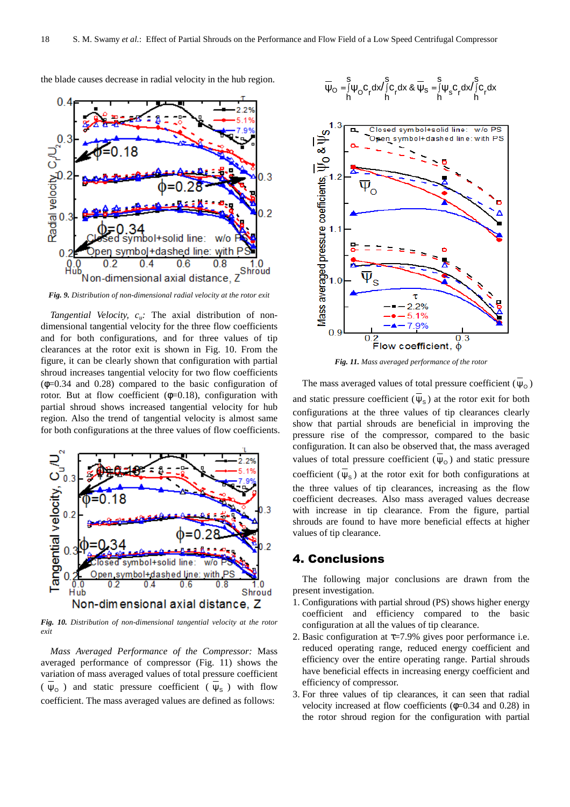

the blade causes decrease in radial velocity in the hub region.

*Fig. 9. Distribution of non-dimensional radial velocity at the rotor exit* 

*Tangential Velocity, cu:* The axial distribution of nondimensional tangential velocity for the three flow coefficients and for both configurations, and for three values of tip clearances at the rotor exit is shown in Fig. 10. From the figure, it can be clearly shown that configuration with partial shroud increases tangential velocity for two flow coefficients  $(\phi=0.34$  and 0.28) compared to the basic configuration of rotor. But at flow coefficient  $(\phi=0.18)$ , configuration with partial shroud shows increased tangential velocity for hub region. Also the trend of tangential velocity is almost same for both configurations at the three values of flow coefficients.



*Fig. 10. Distribution of non-dimensional tangential velocity at the rotor exit* 

*Mass Averaged Performance of the Compressor:* Mass averaged performance of compressor (Fig. 11) shows the variation of mass averaged values of total pressure coefficient ( $\psi_0$ ) and static pressure coefficient ( $\psi_s$ ) with flow coefficient. The mass averaged values are defined as follows:

$$
\overline{\psi}_{O}=\underset{h}{\overset{s}{\int}}\psi_{O}c_{r}dx\overset{s}{\underset{h}{\int}}c_{r}dx\ \&\ \overline{\psi}_{s}=\underset{h}{\overset{s}{\int}}\psi_{s}c_{r}dx\overset{s}{\underset{h}{\int}}c_{r}dx
$$



*Fig. 11. Mass averaged performance of the rotor* 

The mass averaged values of total pressure coefficient  $(\psi_0)$ and static pressure coefficient  $(\Psi_s)$  at the rotor exit for both configurations at the three values of tip clearances clearly show that partial shrouds are beneficial in improving the pressure rise of the compressor, compared to the basic configuration. It can also be observed that, the mass averaged values of total pressure coefficient  $(\Psi_0)$  and static pressure coefficient  $(\psi_s)$  at the rotor exit for both configurations at the three values of tip clearances, increasing as the flow coefficient decreases. Also mass averaged values decrease with increase in tip clearance. From the figure, partial shrouds are found to have more beneficial effects at higher values of tip clearance.

#### 4. Conclusions

The following major conclusions are drawn from the present investigation.

- 1. Configurations with partial shroud (PS) shows higher energy coefficient and efficiency compared to the basic configuration at all the values of tip clearance.
- 2. Basic configuration at  $\tau$ =7.9% gives poor performance i.e. reduced operating range, reduced energy coefficient and efficiency over the entire operating range. Partial shrouds have beneficial effects in increasing energy coefficient and efficiency of compressor.
- 3. For three values of tip clearances, it can seen that radial velocity increased at flow coefficients  $(\phi=0.34$  and 0.28) in the rotor shroud region for the configuration with partial